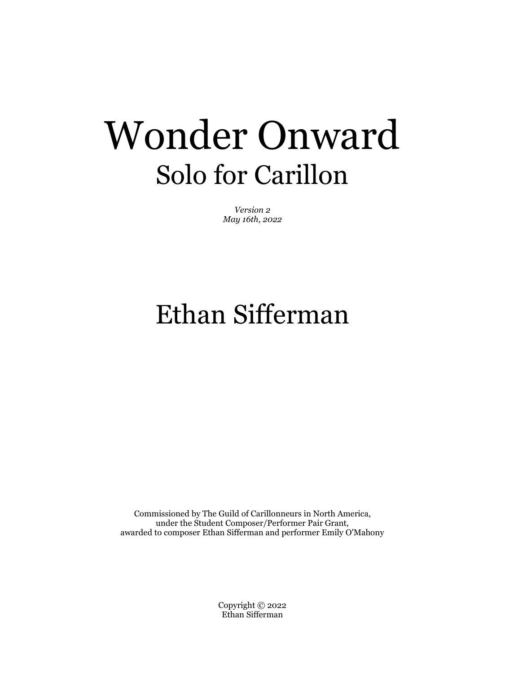## Wonder Onward Solo for Carillon

Version 2 May 16th, 2022

## Ethan Sifferman

Commissioned by The Guild of Carillonneurs in North America, under the Student Composer/Performer Pair Grant, awarded to composer Ethan Sifferman and performer Emily O'Mahony

> Copyright © 2022 Ethan Sifferman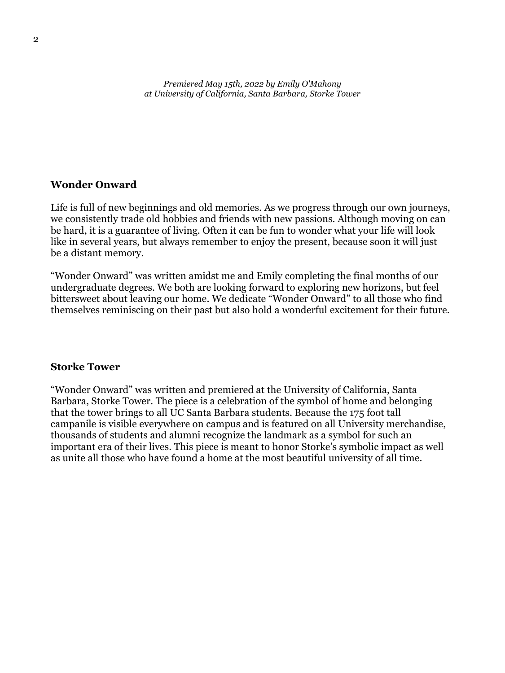Premiered May 15th, 2022 by Emily O'Mahony at University of California, Santa Barbara, Storke Tower

## Wonder Onward

Life is full of new beginnings and old memories. As we progress through our own journeys, we consistently trade old hobbies and friends with new passions. Although moving on can be hard, it is a guarantee of living. Often it can be fun to wonder what your life will look like in several years, but always remember to enjoy the present, because soon it will just be a distant memory.

"Wonder Onward" was written amidst me and Emily completing the final months of our undergraduate degrees. We both are looking forward to exploring new horizons, but feel bittersweet about leaving our home. We dedicate "Wonder Onward" to all those who find themselves reminiscing on their past but also hold a wonderful excitement for their future.

## Storke Tower

"Wonder Onward" was written and premiered at the University of California, Santa Barbara, Storke Tower. The piece is a celebration of the symbol of home and belonging that the tower brings to all UC Santa Barbara students. Because the 175 foot tall campanile is visible everywhere on campus and is featured on all University merchandise, thousands of students and alumni recognize the landmark as a symbol for such an important era of their lives. This piece is meant to honor Storke's symbolic impact as well as unite all those who have found a home at the most beautiful university of all time.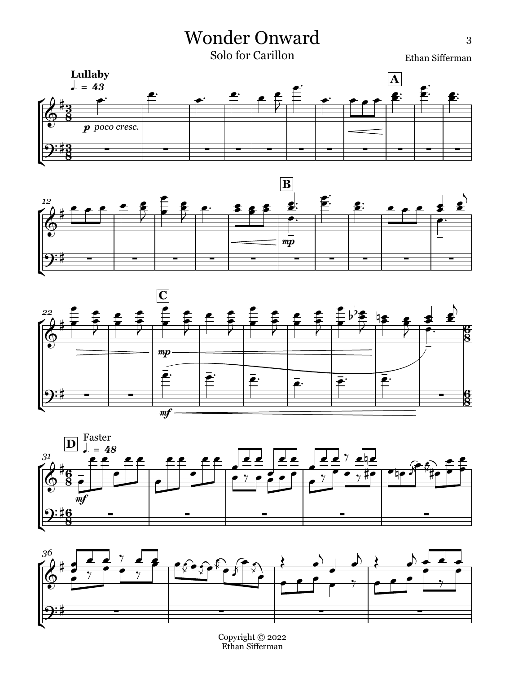Wonder Onward

Solo for Carillon Ethan Sifferman











Copyright © 2022 Ethan Sifferman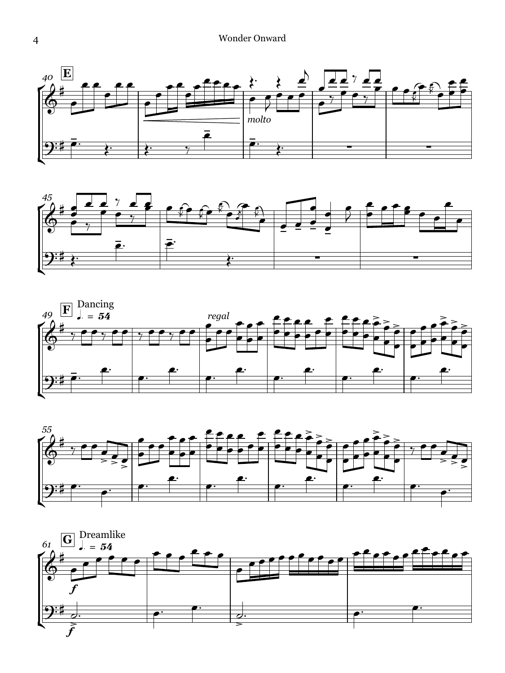







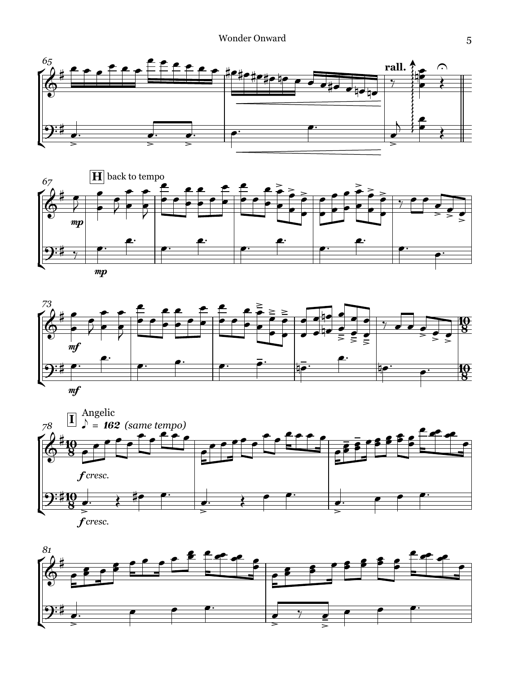









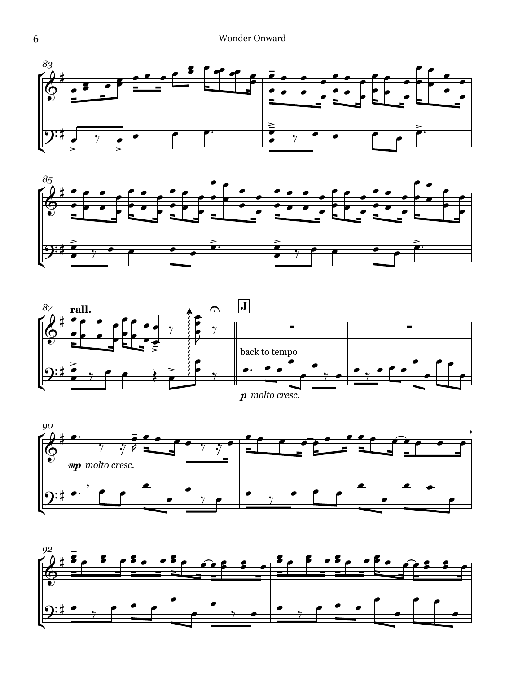







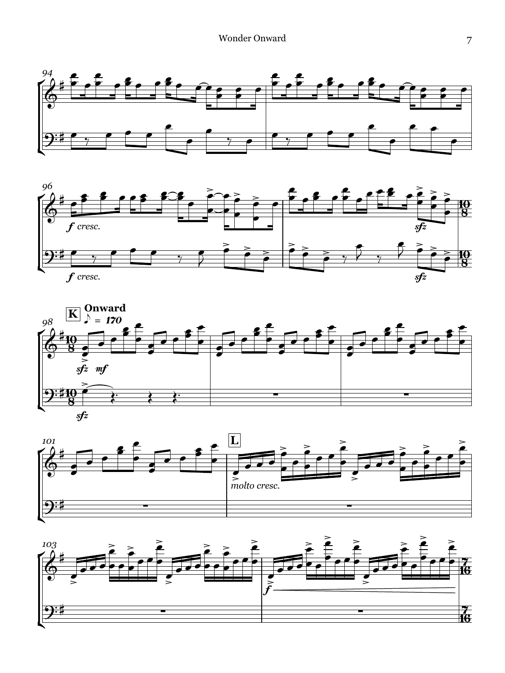